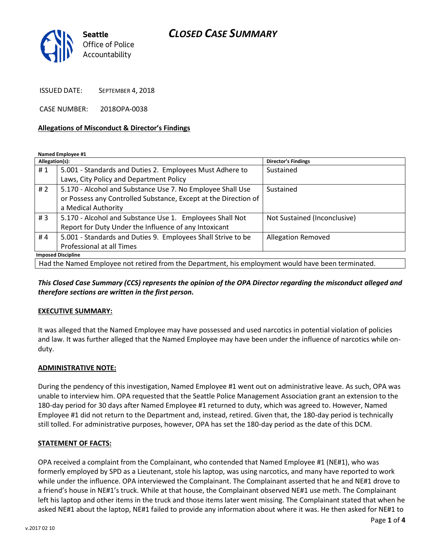# *CLOSED CASE SUMMARY*



ISSUED DATE: SEPTEMBER 4, 2018

CASE NUMBER: 2018OPA-0038

#### **Allegations of Misconduct & Director's Findings**

**Named Employee #1**

| Allegation(s):                                                                                     |                                                                 | <b>Director's Findings</b>   |
|----------------------------------------------------------------------------------------------------|-----------------------------------------------------------------|------------------------------|
| #1                                                                                                 | 5.001 - Standards and Duties 2. Employees Must Adhere to        | Sustained                    |
|                                                                                                    | Laws, City Policy and Department Policy                         |                              |
| #2                                                                                                 | 5.170 - Alcohol and Substance Use 7. No Employee Shall Use      | Sustained                    |
|                                                                                                    | or Possess any Controlled Substance, Except at the Direction of |                              |
|                                                                                                    | a Medical Authority                                             |                              |
| #3                                                                                                 | 5.170 - Alcohol and Substance Use 1. Employees Shall Not        | Not Sustained (Inconclusive) |
|                                                                                                    | Report for Duty Under the Influence of any Intoxicant           |                              |
| #4                                                                                                 | 5.001 - Standards and Duties 9. Employees Shall Strive to be    | <b>Allegation Removed</b>    |
|                                                                                                    | Professional at all Times                                       |                              |
| <b>Imposed Discipline</b>                                                                          |                                                                 |                              |
| Had the Named Employee not retired from the Department, his employment would have been terminated. |                                                                 |                              |

*This Closed Case Summary (CCS) represents the opinion of the OPA Director regarding the misconduct alleged and therefore sections are written in the first person.* 

## **EXECUTIVE SUMMARY:**

It was alleged that the Named Employee may have possessed and used narcotics in potential violation of policies and law. It was further alleged that the Named Employee may have been under the influence of narcotics while onduty.

## **ADMINISTRATIVE NOTE:**

During the pendency of this investigation, Named Employee #1 went out on administrative leave. As such, OPA was unable to interview him. OPA requested that the Seattle Police Management Association grant an extension to the 180-day period for 30 days after Named Employee #1 returned to duty, which was agreed to. However, Named Employee #1 did not return to the Department and, instead, retired. Given that, the 180-day period is technically still tolled. For administrative purposes, however, OPA has set the 180-day period as the date of this DCM.

## **STATEMENT OF FACTS:**

OPA received a complaint from the Complainant, who contended that Named Employee #1 (NE#1), who was formerly employed by SPD as a Lieutenant, stole his laptop, was using narcotics, and many have reported to work while under the influence. OPA interviewed the Complainant. The Complainant asserted that he and NE#1 drove to a friend's house in NE#1's truck. While at that house, the Complainant observed NE#1 use meth. The Complainant left his laptop and other items in the truck and those items later went missing. The Complainant stated that when he asked NE#1 about the laptop, NE#1 failed to provide any information about where it was. He then asked for NE#1 to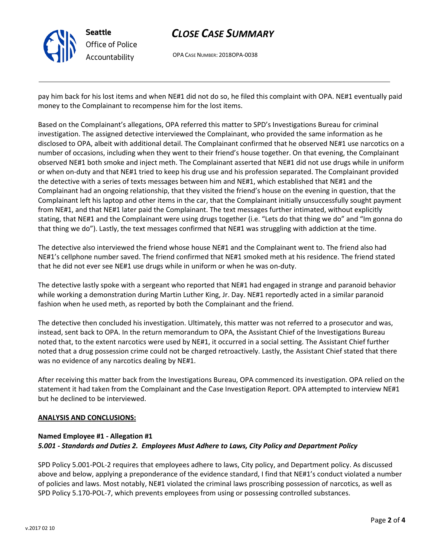

# *CLOSE CASE SUMMARY*

OPA CASE NUMBER: 2018OPA-0038

pay him back for his lost items and when NE#1 did not do so, he filed this complaint with OPA. NE#1 eventually paid money to the Complainant to recompense him for the lost items.

Based on the Complainant's allegations, OPA referred this matter to SPD's Investigations Bureau for criminal investigation. The assigned detective interviewed the Complainant, who provided the same information as he disclosed to OPA, albeit with additional detail. The Complainant confirmed that he observed NE#1 use narcotics on a number of occasions, including when they went to their friend's house together. On that evening, the Complainant observed NE#1 both smoke and inject meth. The Complainant asserted that NE#1 did not use drugs while in uniform or when on-duty and that NE#1 tried to keep his drug use and his profession separated. The Complainant provided the detective with a series of texts messages between him and NE#1, which established that NE#1 and the Complainant had an ongoing relationship, that they visited the friend's house on the evening in question, that the Complainant left his laptop and other items in the car, that the Complainant initially unsuccessfully sought payment from NE#1, and that NE#1 later paid the Complainant. The text messages further intimated, without explicitly stating, that NE#1 and the Complainant were using drugs together (i.e. "Lets do that thing we do" and "Im gonna do that thing we do"). Lastly, the text messages confirmed that NE#1 was struggling with addiction at the time.

The detective also interviewed the friend whose house NE#1 and the Complainant went to. The friend also had NE#1's cellphone number saved. The friend confirmed that NE#1 smoked meth at his residence. The friend stated that he did not ever see NE#1 use drugs while in uniform or when he was on-duty.

The detective lastly spoke with a sergeant who reported that NE#1 had engaged in strange and paranoid behavior while working a demonstration during Martin Luther King, Jr. Day. NE#1 reportedly acted in a similar paranoid fashion when he used meth, as reported by both the Complainant and the friend.

The detective then concluded his investigation. Ultimately, this matter was not referred to a prosecutor and was, instead, sent back to OPA. In the return memorandum to OPA, the Assistant Chief of the Investigations Bureau noted that, to the extent narcotics were used by NE#1, it occurred in a social setting. The Assistant Chief further noted that a drug possession crime could not be charged retroactively. Lastly, the Assistant Chief stated that there was no evidence of any narcotics dealing by NE#1.

After receiving this matter back from the Investigations Bureau, OPA commenced its investigation. OPA relied on the statement it had taken from the Complainant and the Case Investigation Report. OPA attempted to interview NE#1 but he declined to be interviewed.

## **ANALYSIS AND CONCLUSIONS:**

# **Named Employee #1 - Allegation #1** *5.001 - Standards and Duties 2. Employees Must Adhere to Laws, City Policy and Department Policy*

SPD Policy 5.001-POL-2 requires that employees adhere to laws, City policy, and Department policy. As discussed above and below, applying a preponderance of the evidence standard, I find that NE#1's conduct violated a number of policies and laws. Most notably, NE#1 violated the criminal laws proscribing possession of narcotics, as well as SPD Policy 5.170-POL-7, which prevents employees from using or possessing controlled substances.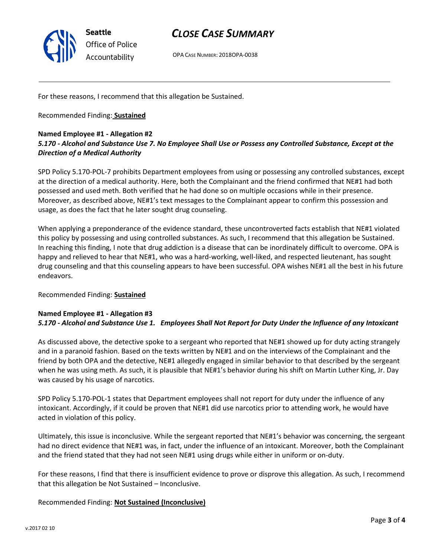

# *CLOSE CASE SUMMARY*

OPA CASE NUMBER: 2018OPA-0038

For these reasons, I recommend that this allegation be Sustained.

Recommended Finding: **Sustained**

# **Named Employee #1 - Allegation #2** *5.170 - Alcohol and Substance Use 7. No Employee Shall Use or Possess any Controlled Substance, Except at the Direction of a Medical Authority*

SPD Policy 5.170-POL-7 prohibits Department employees from using or possessing any controlled substances, except at the direction of a medical authority. Here, both the Complainant and the friend confirmed that NE#1 had both possessed and used meth. Both verified that he had done so on multiple occasions while in their presence. Moreover, as described above, NE#1's text messages to the Complainant appear to confirm this possession and usage, as does the fact that he later sought drug counseling.

When applying a preponderance of the evidence standard, these uncontroverted facts establish that NE#1 violated this policy by possessing and using controlled substances. As such, I recommend that this allegation be Sustained. In reaching this finding, I note that drug addiction is a disease that can be inordinately difficult to overcome. OPA is happy and relieved to hear that NE#1, who was a hard-working, well-liked, and respected lieutenant, has sought drug counseling and that this counseling appears to have been successful. OPA wishes NE#1 all the best in his future endeavors.

## Recommended Finding: **Sustained**

# **Named Employee #1 - Allegation #3** *5.170 - Alcohol and Substance Use 1. Employees Shall Not Report for Duty Under the Influence of any Intoxicant*

As discussed above, the detective spoke to a sergeant who reported that NE#1 showed up for duty acting strangely and in a paranoid fashion. Based on the texts written by NE#1 and on the interviews of the Complainant and the friend by both OPA and the detective, NE#1 allegedly engaged in similar behavior to that described by the sergeant when he was using meth. As such, it is plausible that NE#1's behavior during his shift on Martin Luther King, Jr. Day was caused by his usage of narcotics.

SPD Policy 5.170-POL-1 states that Department employees shall not report for duty under the influence of any intoxicant. Accordingly, if it could be proven that NE#1 did use narcotics prior to attending work, he would have acted in violation of this policy.

Ultimately, this issue is inconclusive. While the sergeant reported that NE#1's behavior was concerning, the sergeant had no direct evidence that NE#1 was, in fact, under the influence of an intoxicant. Moreover, both the Complainant and the friend stated that they had not seen NE#1 using drugs while either in uniform or on-duty.

For these reasons, I find that there is insufficient evidence to prove or disprove this allegation. As such, I recommend that this allegation be Not Sustained – Inconclusive.

## Recommended Finding: **Not Sustained (Inconclusive)**